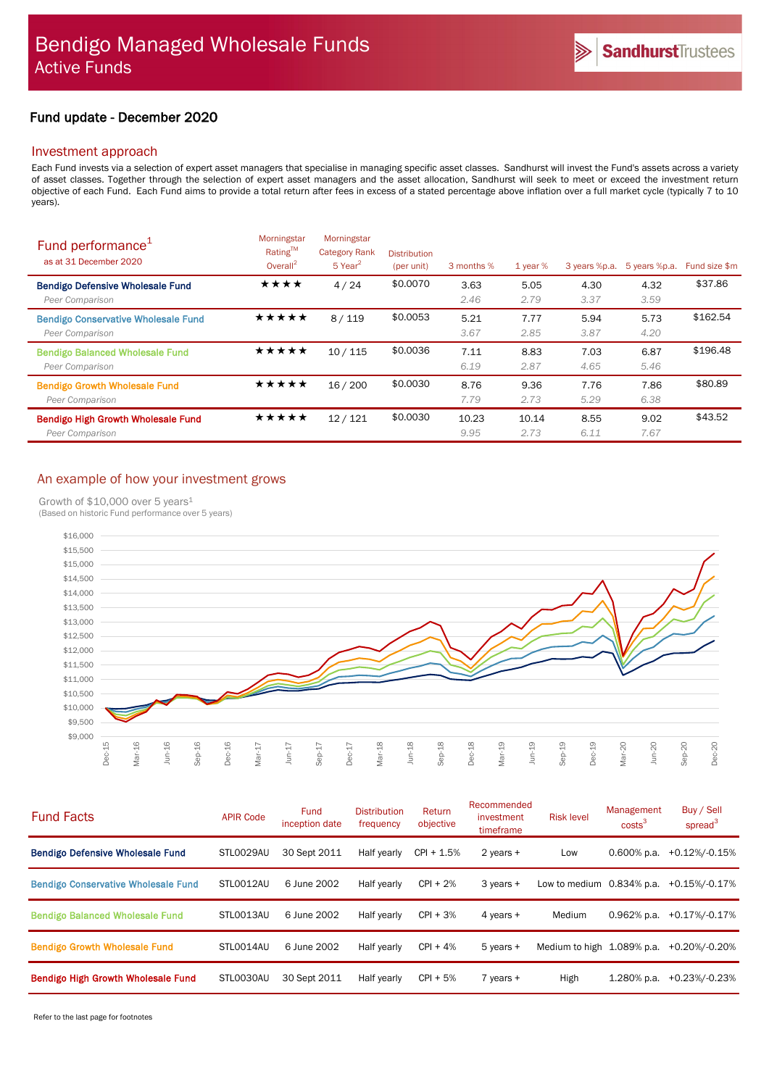# Fund update - December 2020

# Investment approach

Each Fund invests via a selection of expert asset managers that specialise in managing specific asset classes. Sandhurst will invest the Fund's assets across a variety of asset classes. Together through the selection of expert asset managers and the asset allocation, Sandhurst will seek to meet or exceed the investment return objective of each Fund. Each Fund aims to provide a total return after fees in excess of a stated percentage above inflation over a full market cycle (typically 7 to 10 years).

| Fund performance <sup>1</sup><br>as at 31 December 2020       | Morningstar<br>Rating™<br>Overall $^2$ | Morningstar<br><b>Category Rank</b><br>$5$ Year <sup>2</sup> | <b>Distribution</b><br>(per unit) | 3 months %    | $1$ year %    | 3 years %p.a. | 5 years %p.a. | Fund size \$m |
|---------------------------------------------------------------|----------------------------------------|--------------------------------------------------------------|-----------------------------------|---------------|---------------|---------------|---------------|---------------|
| <b>Bendigo Defensive Wholesale Fund</b><br>Peer Comparison    | ★★★★                                   | 4/24                                                         | \$0.0070                          | 3.63<br>2.46  | 5.05<br>2.79  | 4.30<br>3.37  | 4.32<br>3.59  | \$37.86       |
| <b>Bendigo Conservative Wholesale Fund</b><br>Peer Comparison | ★★★★★                                  | 8/119                                                        | \$0.0053                          | 5.21<br>3.67  | 7.77<br>2.85  | 5.94<br>3.87  | 5.73<br>4.20  | \$162.54      |
| <b>Bendigo Balanced Wholesale Fund</b><br>Peer Comparison     | ★★★★★                                  | 10/115                                                       | \$0.0036                          | 7.11<br>6.19  | 8.83<br>2.87  | 7.03<br>4.65  | 6.87<br>5.46  | \$196.48      |
| <b>Bendigo Growth Wholesale Fund</b><br>Peer Comparison       | ★★★★★                                  | 16/200                                                       | \$0.0030                          | 8.76<br>7.79  | 9.36<br>2.73  | 7.76<br>5.29  | 7.86<br>6.38  | \$80.89       |
| <b>Bendigo High Growth Wholesale Fund</b><br>Peer Comparison  | ★★★★★                                  | 12/121                                                       | \$0,0030                          | 10.23<br>9.95 | 10.14<br>2.73 | 8.55<br>6.11  | 9.02<br>7.67  | \$43.52       |

# An example of how your investment grows

Growth of \$10,000 over 5 years<sup>1</sup>

(Based on historic Fund performance over 5 years)



| <b>Fund Facts</b>                          | <b>APIR Code</b> | Fund<br>inception date | <b>Distribution</b><br>frequency | Return<br>objective | Recommended<br>investment<br>timeframe | <b>Risk level</b>            | Management<br>costs <sup>3</sup> | Buy / Sell<br>spread <sup>3</sup> |
|--------------------------------------------|------------------|------------------------|----------------------------------|---------------------|----------------------------------------|------------------------------|----------------------------------|-----------------------------------|
| <b>Bendigo Defensive Wholesale Fund</b>    | STL0029AU        | 30 Sept 2011           | Half yearly                      | $CPI + 1.5%$        | 2 years $+$                            | Low                          | 0.600% p.a.                      | +0.12%/-0.15%                     |
| <b>Bendigo Conservative Wholesale Fund</b> | STLO012AU        | 6 June 2002            | Half yearly                      | $CPI + 2%$          | $3$ years $+$                          | Low to medium $0.834\%$ p.a. |                                  | +0.15%/-0.17%                     |
| <b>Bendigo Balanced Wholesale Fund</b>     | STL0013AU        | 6 June 2002            | Half yearly                      | $CPI + 3%$          | 4 years $+$                            | Medium                       | $0.962%$ p.a.                    | $+0.17\%/0.17\%$                  |
| <b>Bendigo Growth Wholesale Fund</b>       | STLO014AU        | 6 June 2002            | Half yearly                      | $CPI + 4%$          | $5$ years $+$                          | Medium to high 1.089% p.a.   |                                  | +0.20%/-0.20%                     |
| Bendigo High Growth Wholesale Fund         | STL0030AU        | 30 Sept 2011           | Half yearly                      | $CPI + 5%$          | $7$ years $+$                          | High                         | $1.280\%$ p.a.                   | +0.23%/-0.23%                     |

Refer to the last page for footnotes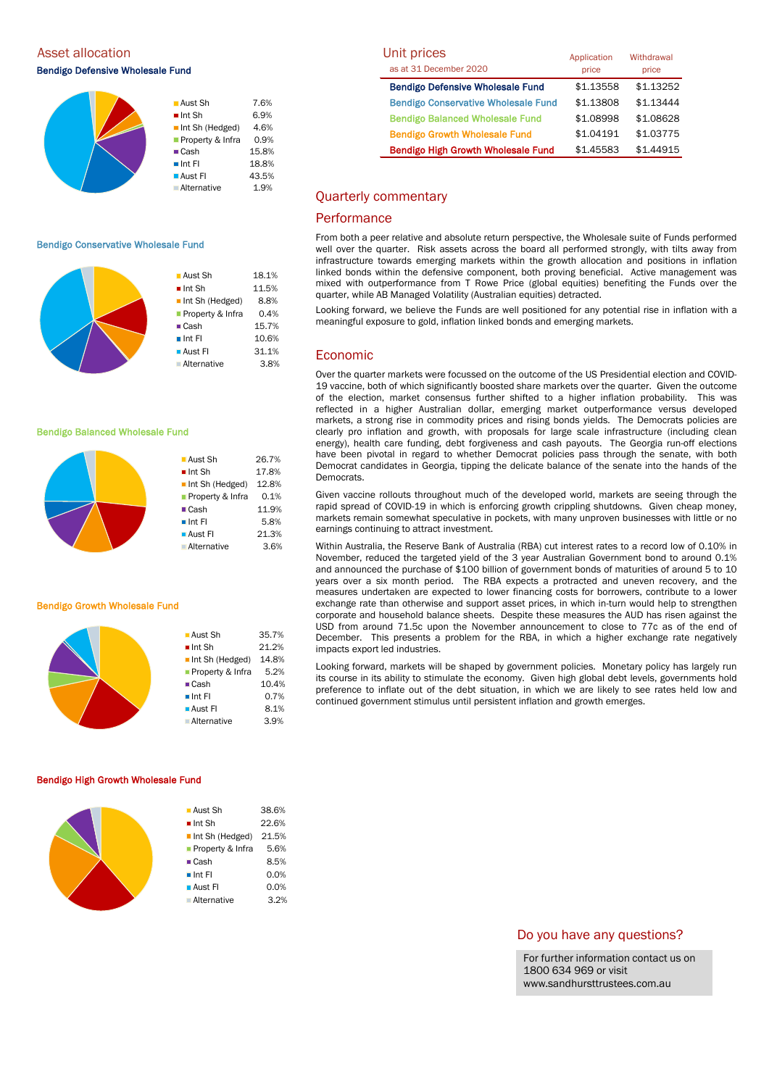Asset allocation

Bendigo Defensive Wholesale Fund

|  | ■ Aust Sh                      | 7.6%  |
|--|--------------------------------|-------|
|  | $\blacksquare$ Int Sh          | 6.9%  |
|  | $\blacksquare$ Int Sh (Hedged) | 4.6%  |
|  | Property & Infra               | 0.9%  |
|  | $\blacksquare$ Cash            | 15.8% |
|  | $\blacksquare$ Int Fl          | 18.8% |
|  | <b>Aust Fl</b>                 | 43.5% |
|  | <b>Alternative</b>             | 1.9%  |
|  |                                |       |

#### Bendigo Conservative Wholesale Fund



■ Aust Sh 26.7%  $\blacksquare$  Int Sh  $17.8\%$ Int Sh (Hedged) 12.8% **Property & Infra** 0.1% ■ Cash 11.9%  $\blacksquare$  Int FI 5.8% **Aust FI** 21.3% Alternative 3.6%

**Aust Sh** 35.7%  $\blacksquare$  Int Sh 21.2% Int Sh (Hedged) 14.8% **Property & Infra** 5.2% ■ Cash 10.4%  $\blacksquare$  Int FI 0.7% **Aust FI** 8.1% Alternative 3.9%

## Bendigo Balanced Wholesale Fund



#### Bendigo Growth Wholesale Fund

## Bendigo High Growth Wholesale Fund

| $\blacksquare$ Aust Sh         | 38.6% |
|--------------------------------|-------|
| $\blacksquare$ Int Sh          | 22.6% |
| $\blacksquare$ Int Sh (Hedged) | 21.5% |
| <b>Property &amp; Infra</b>    | 5.6%  |
| $\blacksquare$ Cash            | 8.5%  |
| $\blacksquare$ Int FI          | 0.0%  |
| $\blacksquare$ Aust FI         | 0.0%  |
| <b>Alternative</b>             | 3.2%  |
|                                |       |

| Unit prices                                | Application | Withdrawal |  |
|--------------------------------------------|-------------|------------|--|
| as at 31 December 2020                     | price       | price      |  |
| <b>Bendigo Defensive Wholesale Fund</b>    | \$1.13558   | \$1.13252  |  |
| <b>Bendigo Conservative Wholesale Fund</b> | \$1.13808   | \$1.13444  |  |
| <b>Bendigo Balanced Wholesale Fund</b>     | \$1.08998   | \$1.08628  |  |
| <b>Bendigo Growth Wholesale Fund</b>       | \$1.04191   | \$1.03775  |  |
| <b>Bendigo High Growth Wholesale Fund</b>  | \$1.45583   | \$1.44915  |  |

# Quarterly commentary

# **Performance**

From both a peer relative and absolute return perspective, the Wholesale suite of Funds performed well over the quarter. Risk assets across the board all performed strongly, with tilts away from infrastructure towards emerging markets within the growth allocation and positions in inflation linked bonds within the defensive component, both proving beneficial. Active management was mixed with outperformance from T Rowe Price (global equities) benefiting the Funds over the quarter, while AB Managed Volatility (Australian equities) detracted.

Looking forward, we believe the Funds are well positioned for any potential rise in inflation with a meaningful exposure to gold, inflation linked bonds and emerging markets.

# Economic

Over the quarter markets were focussed on the outcome of the US Presidential election and COVID-19 vaccine, both of which significantly boosted share markets over the quarter. Given the outcome of the election, market consensus further shifted to a higher inflation probability. This was reflected in a higher Australian dollar, emerging market outperformance versus developed markets, a strong rise in commodity prices and rising bonds yields. The Democrats policies are clearly pro inflation and growth, with proposals for large scale infrastructure (including clean energy), health care funding, debt forgiveness and cash payouts. The Georgia run-off elections have been pivotal in regard to whether Democrat policies pass through the senate, with both Democrat candidates in Georgia, tipping the delicate balance of the senate into the hands of the Democrats.

Given vaccine rollouts throughout much of the developed world, markets are seeing through the rapid spread of COVID-19 in which is enforcing growth crippling shutdowns. Given cheap money, markets remain somewhat speculative in pockets, with many unproven businesses with little or no earnings continuing to attract investment.

Within Australia, the Reserve Bank of Australia (RBA) cut interest rates to a record low of 0.10% in November, reduced the targeted yield of the 3 year Australian Government bond to around 0.1% and announced the purchase of \$100 billion of government bonds of maturities of around 5 to 10 years over a six month period. The RBA expects a protracted and uneven recovery, and the measures undertaken are expected to lower financing costs for borrowers, contribute to a lower exchange rate than otherwise and support asset prices, in which in-turn would help to strengthen corporate and household balance sheets. Despite these measures the AUD has risen against the USD from around 71.5c upon the November announcement to close to 77c as of the end of December. This presents a problem for the RBA, in which a higher exchange rate negatively impacts export led industries.

Looking forward, markets will be shaped by government policies. Monetary policy has largely run its course in its ability to stimulate the economy. Given high global debt levels, governments hold preference to inflate out of the debt situation, in which we are likely to see rates held low and continued government stimulus until persistent inflation and growth emerges.

# Do you have any questions?

For further information contact us on 1800 634 969 or visit www.sandhursttrustees.com.au